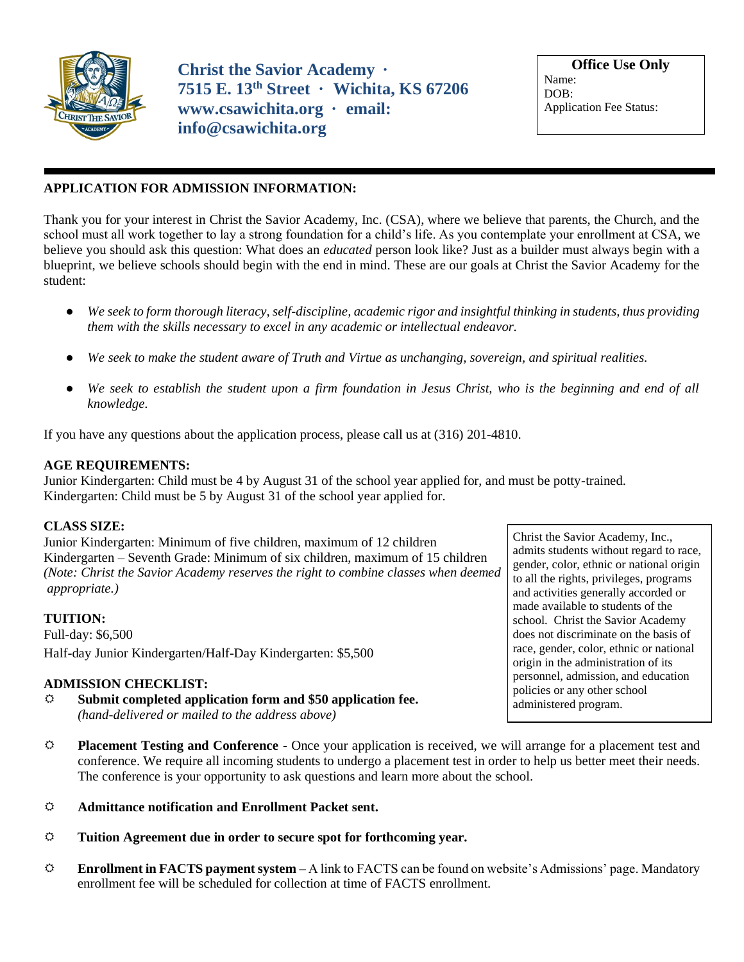

**Christ the Savior Academy · 7515 E. 13th Street · Wichita, KS 67206 www.csawichita.org · email: info@csawichita.org** 

**Office Use Only** Name: DOB: Application Fee Status:

# **APPLICATION FOR ADMISSION INFORMATION:**

Thank you for your interest in Christ the Savior Academy, Inc. (CSA), where we believe that parents, the Church, and the school must all work together to lay a strong foundation for a child's life. As you contemplate your enrollment at CSA, we believe you should ask this question: What does an *educated* person look like? Just as a builder must always begin with a blueprint, we believe schools should begin with the end in mind. These are our goals at Christ the Savior Academy for the student:

- *We seek to form thorough literacy, self-discipline, academic rigor and insightful thinking in students, thus providing them with the skills necessary to excel in any academic or intellectual endeavor.*
- *We seek to make the student aware of Truth and Virtue as unchanging, sovereign, and spiritual realities.*
- We seek to establish the student upon a firm foundation in Jesus Christ, who is the beginning and end of all *knowledge.*

If you have any questions about the application process, please call us at (316) 201-4810.

# **AGE REQUIREMENTS:**

Junior Kindergarten: Child must be 4 by August 31 of the school year applied for, and must be potty-trained. Kindergarten: Child must be 5 by August 31 of the school year applied for.

# **CLASS SIZE:**

Junior Kindergarten: Minimum of five children, maximum of 12 children Kindergarten – Seventh Grade: Minimum of six children, maximum of 15 children *(Note: Christ the Savior Academy reserves the right to combine classes when deemed appropriate.)*

### **TUITION:**

Full-day: \$6,500 Half-day Junior Kindergarten/Half-Day Kindergarten: \$5,500

# **ADMISSION CHECKLIST:**

- **Submit completed application form and \$50 application fee.**  *(hand-delivered or mailed to the address above)*
- **Placement Testing and Conference -** Once your application is received, we will arrange for a placement test and conference. We require all incoming students to undergo a placement test in order to help us better meet their needs. The conference is your opportunity to ask questions and learn more about the school.
- **Admittance notification and Enrollment Packet sent.**
- **Tuition Agreement due in order to secure spot for forthcoming year.**
- **Enrollment in FACTS payment system –** A link to FACTS can be found on website's Admissions' page. Mandatory enrollment fee will be scheduled for collection at time of FACTS enrollment.

Christ the Savior Academy, Inc., admits students without regard to race, gender, color, ethnic or national origin to all the rights, privileges, programs and activities generally accorded or made available to students of the school. Christ the Savior Academy does not discriminate on the basis of race, gender, color, ethnic or national origin in the administration of its personnel, admission, and education policies or any other school administered program.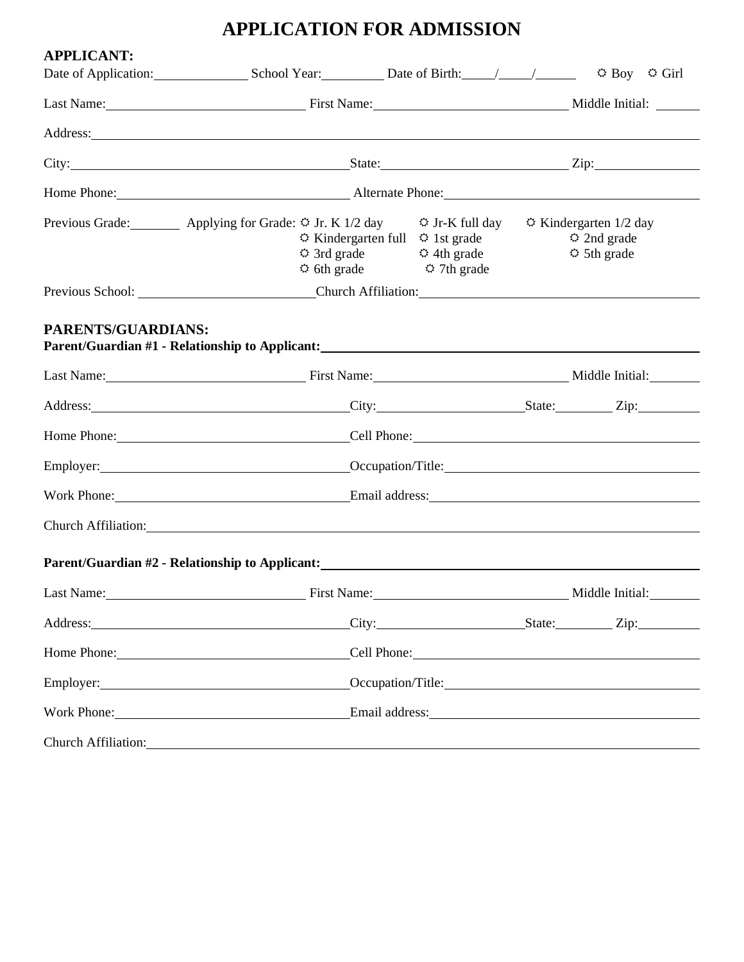# **APPLICATION FOR ADMISSION**

| <b>APPLICANT:</b>                                                                                                                                                                                                              |                                                                                                                                                                                                                                     |                                                                                                                                                               |                 | $\hat{\varphi}$ Boy $\hat{\varphi}$ Girl                   |  |  |
|--------------------------------------------------------------------------------------------------------------------------------------------------------------------------------------------------------------------------------|-------------------------------------------------------------------------------------------------------------------------------------------------------------------------------------------------------------------------------------|---------------------------------------------------------------------------------------------------------------------------------------------------------------|-----------------|------------------------------------------------------------|--|--|
|                                                                                                                                                                                                                                | Last Name: Middle Initial: Manne: Middle Initial:                                                                                                                                                                                   |                                                                                                                                                               |                 |                                                            |  |  |
|                                                                                                                                                                                                                                | Address: <u>Address:</u>                                                                                                                                                                                                            |                                                                                                                                                               |                 |                                                            |  |  |
|                                                                                                                                                                                                                                | City: <u>City:</u> City: City: City: City: City: City: City: City: City: City: City: City: City: City: City: City: City: City: City: City: City: City: City: City: City: City: City: City: City: City: City: City: City: City: City |                                                                                                                                                               |                 |                                                            |  |  |
|                                                                                                                                                                                                                                |                                                                                                                                                                                                                                     | Home Phone: <u>Alternate Phone:</u> Alternate Phone:                                                                                                          |                 |                                                            |  |  |
|                                                                                                                                                                                                                                | Previous Grade: $\Box$ Applying for Grade: $\circ$ Jr. K 1/2 day $\circ$ Jr. K full day $\circ$ Kindergarten 1/2 day                                                                                                                | $\circ$ Kindergarten full $\circ$ 1st grade<br>$\ddot{\varphi}$ 3rd grade $\ddot{\varphi}$ 4th grade<br>$\ddot{\varphi}$ 6th grade $\ddot{\varphi}$ 7th grade |                 | $\Leftrightarrow$ 2nd grade<br>$\Leftrightarrow$ 5th grade |  |  |
|                                                                                                                                                                                                                                | Previous School: Church Affiliation: Church Affiliation:                                                                                                                                                                            |                                                                                                                                                               |                 |                                                            |  |  |
| PARENTS/GUARDIANS:                                                                                                                                                                                                             | Parent/Guardian #1 - Relationship to Applicant:<br><u>Parent/Guardian #1 - Relationship to Applicant:</u>                                                                                                                           |                                                                                                                                                               |                 |                                                            |  |  |
|                                                                                                                                                                                                                                |                                                                                                                                                                                                                                     | Last Name: Middle Initial: Manne: Middle Initial: Manne: Middle Initial:                                                                                      |                 |                                                            |  |  |
|                                                                                                                                                                                                                                | Address: <u>City:</u> City: State: Zip: Zip:                                                                                                                                                                                        |                                                                                                                                                               |                 |                                                            |  |  |
|                                                                                                                                                                                                                                | Home Phone: Cell Phone: Cell Phone:                                                                                                                                                                                                 |                                                                                                                                                               |                 |                                                            |  |  |
|                                                                                                                                                                                                                                |                                                                                                                                                                                                                                     | Employer: Cocupation/Title: Cocupation/Title:                                                                                                                 |                 |                                                            |  |  |
|                                                                                                                                                                                                                                | Work Phone: Email address: Email address:                                                                                                                                                                                           |                                                                                                                                                               |                 |                                                            |  |  |
|                                                                                                                                                                                                                                | Church Affiliation: <u>Church Affiliation</u>                                                                                                                                                                                       |                                                                                                                                                               |                 |                                                            |  |  |
|                                                                                                                                                                                                                                | Parent/Guardian #2 - Relationship to Applicant: New York Changes and School and School and School and School and School and School and School and School and School and School and School and School and School and School and      |                                                                                                                                                               |                 |                                                            |  |  |
| Last Name:                                                                                                                                                                                                                     | <b>Example 2018</b> First Name:                                                                                                                                                                                                     |                                                                                                                                                               | Middle Initial: |                                                            |  |  |
| Address: Note and the set of the set of the set of the set of the set of the set of the set of the set of the set of the set of the set of the set of the set of the set of the set of the set of the set of the set of the se |                                                                                                                                                                                                                                     | City: State: Zip:                                                                                                                                             |                 |                                                            |  |  |
|                                                                                                                                                                                                                                |                                                                                                                                                                                                                                     | Cell Phone:                                                                                                                                                   |                 |                                                            |  |  |
|                                                                                                                                                                                                                                |                                                                                                                                                                                                                                     | Occupation/Title:                                                                                                                                             |                 |                                                            |  |  |
|                                                                                                                                                                                                                                |                                                                                                                                                                                                                                     | Work Phone: Email address: Email address:                                                                                                                     |                 |                                                            |  |  |
|                                                                                                                                                                                                                                | Church Affiliation: example of the contract of the contract of the contract of the contract of the contract of the contract of the contract of the contract of the contract of the contract of the contract of the contract of      |                                                                                                                                                               |                 |                                                            |  |  |